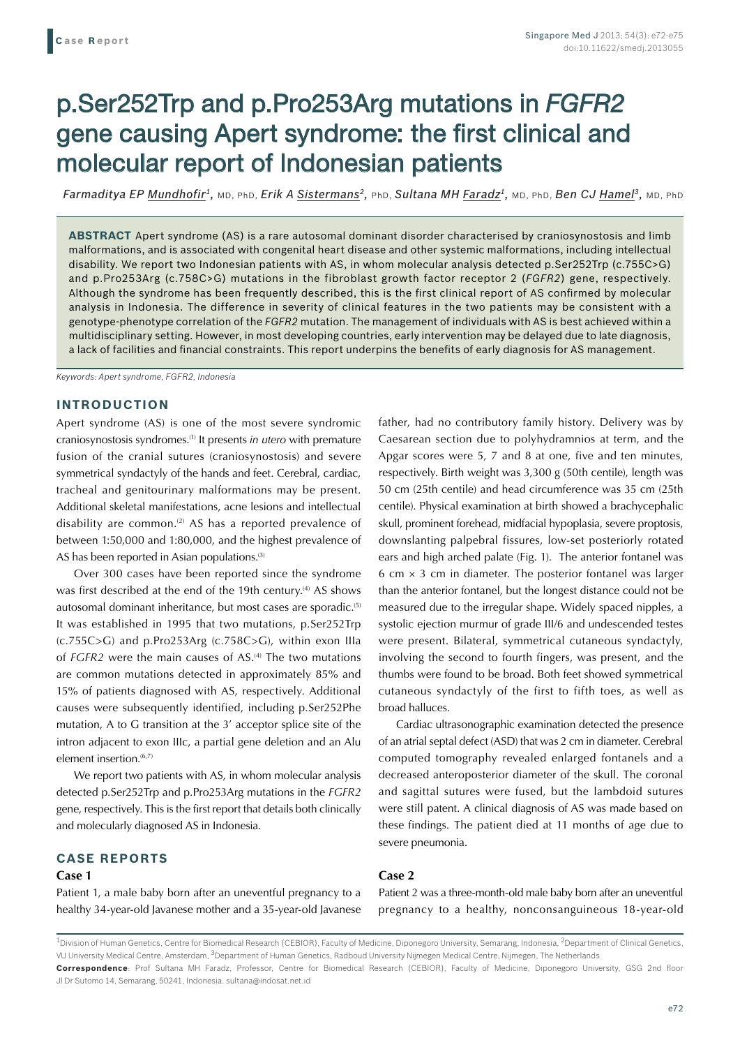# p.Ser252Trp and p.Pro253Arg mutations in *FGFR2* gene causing Apert syndrome: the first clinical and molecular report of Indonesian patients

*Farmaditya EP Mundhofir1,* MD, PhD, *Erik A Sistermans2,* PhD, *Sultana MH Faradz1,* MD, PhD, *Ben CJ Hamel3,* MD, PhD

**ABSTRACT** Apert syndrome (AS) is a rare autosomal dominant disorder characterised by craniosynostosis and limb malformations, and is associated with congenital heart disease and other systemic malformations, including intellectual disability. We report two Indonesian patients with AS, in whom molecular analysis detected p.Ser252Trp (c.755C>G) and p.Pro253Arg (c.758C>G) mutations in the fibroblast growth factor receptor 2 (*FGFR2*) gene, respectively. Although the syndrome has been frequently described, this is the first clinical report of AS confirmed by molecular analysis in Indonesia. The difference in severity of clinical features in the two patients may be consistent with a genotype-phenotype correlation of the *FGFR2* mutation. The management of individuals with AS is best achieved within a multidisciplinary setting. However, in most developing countries, early intervention may be delayed due to late diagnosis, a lack of facilities and financial constraints. This report underpins the benefits of early diagnosis for AS management.

*Keywords: Apert syndrome, FGFR2, Indonesia*

## **INTRODUCTION**

Apert syndrome (AS) is one of the most severe syndromic craniosynostosis syndromes.(1) It presents *in utero* with premature fusion of the cranial sutures (craniosynostosis) and severe symmetrical syndactyly of the hands and feet. Cerebral, cardiac, tracheal and genitourinary malformations may be present. Additional skeletal manifestations, acne lesions and intellectual disability are common.<sup>(2)</sup> AS has a reported prevalence of between 1:50,000 and 1:80,000, and the highest prevalence of AS has been reported in Asian populations.<sup>(3)</sup>

Over 300 cases have been reported since the syndrome was first described at the end of the 19th century.<sup>(4)</sup> AS shows autosomal dominant inheritance, but most cases are sporadic.<sup>(5)</sup> It was established in 1995 that two mutations, p.Ser252Trp (c.755C>G) and p.Pro253Arg (c.758C>G), within exon IIIa of *FGFR2* were the main causes of AS.<sup>(4)</sup> The two mutations are common mutations detected in approximately 85% and 15% of patients diagnosed with AS, respectively. Additional causes were subsequently identified, including p.Ser252Phe mutation, A to G transition at the 3' acceptor splice site of the intron adjacent to exon IIIc, a partial gene deletion and an Alu element insertion.<sup>(6,7)</sup>

We report two patients with AS, in whom molecular analysis detected p.Ser252Trp and p.Pro253Arg mutations in the *FGFR2*  gene, respectively. This is the first report that details both clinically and molecularly diagnosed AS in Indonesia.

## **CASE REPORTS**

## **Case 1**

Patient 1, a male baby born after an uneventful pregnancy to a healthy 34-year-old Javanese mother and a 35-year-old Javanese father, had no contributory family history. Delivery was by Caesarean section due to polyhydramnios at term, and the Apgar scores were 5, 7 and 8 at one, five and ten minutes, respectively. Birth weight was 3,300 g (50th centile), length was 50 cm (25th centile) and head circumference was 35 cm (25th centile). Physical examination at birth showed a brachycephalic skull, prominent forehead, midfacial hypoplasia, severe proptosis, downslanting palpebral fissures, low-set posteriorly rotated ears and high arched palate (Fig. 1). The anterior fontanel was 6 cm  $\times$  3 cm in diameter. The posterior fontanel was larger than the anterior fontanel, but the longest distance could not be measured due to the irregular shape. Widely spaced nipples, a systolic ejection murmur of grade III/6 and undescended testes were present. Bilateral, symmetrical cutaneous syndactyly, involving the second to fourth fingers, was present, and the thumbs were found to be broad. Both feet showed symmetrical cutaneous syndactyly of the first to fifth toes, as well as broad halluces.

Cardiac ultrasonographic examination detected the presence of an atrial septal defect (ASD) that was 2 cm in diameter. Cerebral computed tomography revealed enlarged fontanels and a decreased anteroposterior diameter of the skull. The coronal and sagittal sutures were fused, but the lambdoid sutures were still patent. A clinical diagnosis of AS was made based on these findings. The patient died at 11 months of age due to severe pneumonia.

## **Case 2**

Patient 2 was a three-month-old male baby born after an uneventful pregnancy to a healthy, nonconsanguineous 18-year-old

Jl Dr Sutomo 14, Semarang, 50241, Indonesia. sultana@indosat.net.id

 $^{\rm 1}$ Division of Human Genetics, Centre for Biomedical Research (CEBIOR), Faculty of Medicine, Diponegoro University, Semarang, Indonesia,  $^2$ Department of Clinical Genetics, VU University Medical Centre, Amsterdam, <sup>3</sup>Department of Human Genetics, Radboud University Nijmegen Medical Centre, Nijmegen, The Netherlands **Correspondence**: Prof Sultana MH Faradz, Professor, Centre for Biomedical Research (CEBIOR), Faculty of Medicine, Diponegoro University, GSG 2nd floor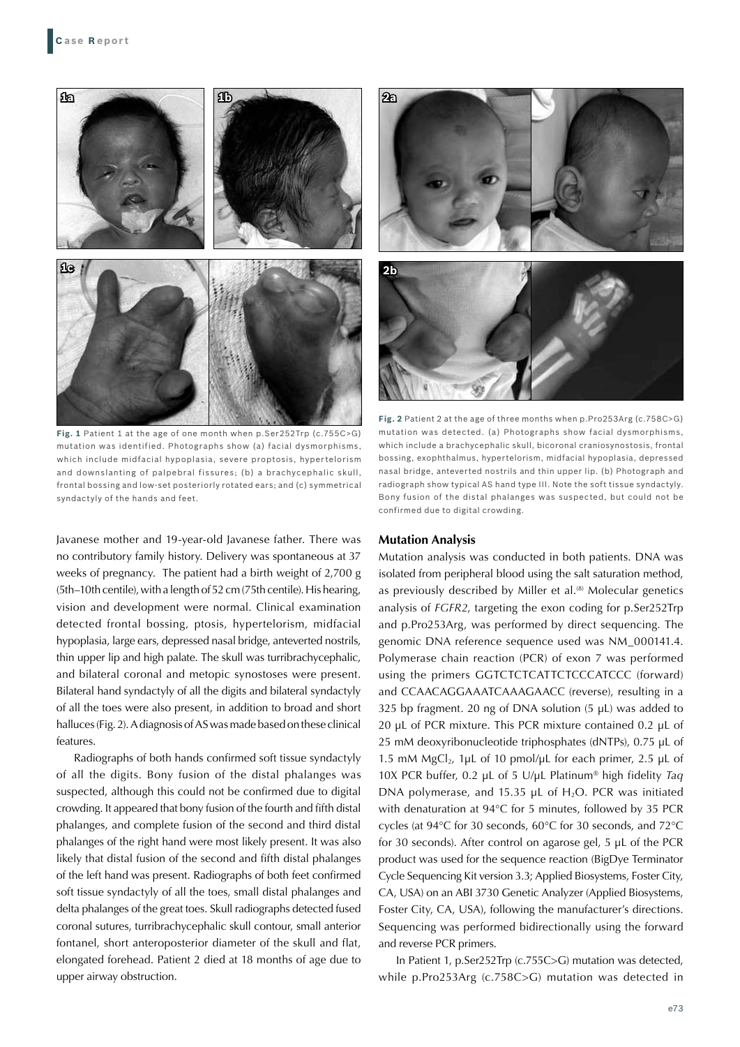

**Fig. 1** Patient 1 at the age of one month when p.Ser252Trp (c.755C>G) mutation was identified. Photographs show (a) facial dysmorphisms, which include midfacial hypoplasia, severe proptosis, hypertelorism and downslanting of palpebral fissures; (b) a brachycephalic skull, frontal bossing and low-set posteriorly rotated ears; and (c) symmetrical syndactyly of the hands and feet.

Javanese mother and 19-year-old Javanese father. There was no contributory family history. Delivery was spontaneous at 37 weeks of pregnancy. The patient had a birth weight of 2,700 g (5th–10th centile), with a length of 52 cm (75th centile). His hearing, vision and development were normal. Clinical examination detected frontal bossing, ptosis, hypertelorism, midfacial hypoplasia, large ears, depressed nasal bridge, anteverted nostrils, thin upper lip and high palate. The skull was turribrachycephalic, and bilateral coronal and metopic synostoses were present. Bilateral hand syndactyly of all the digits and bilateral syndactyly of all the toes were also present, in addition to broad and short halluces (Fig. 2). A diagnosis of AS was made based on these clinical features.

Radiographs of both hands confirmed soft tissue syndactyly of all the digits. Bony fusion of the distal phalanges was suspected, although this could not be confirmed due to digital crowding. It appeared that bony fusion of the fourth and fifth distal phalanges, and complete fusion of the second and third distal phalanges of the right hand were most likely present. It was also likely that distal fusion of the second and fifth distal phalanges of the left hand was present. Radiographs of both feet confirmed soft tissue syndactyly of all the toes, small distal phalanges and delta phalanges of the great toes. Skull radiographs detected fused coronal sutures, turribrachycephalic skull contour, small anterior fontanel, short anteroposterior diameter of the skull and flat, elongated forehead. Patient 2 died at 18 months of age due to upper airway obstruction.



**Fig. 2** Patient 2 at the age of three months when p.Pro253Arg (c.758C>G) mutation was detected. (a) Photographs show facial dysmorphisms, which include a brachycephalic skull, bicoronal craniosynostosis, frontal bossing, exophthalmus, hypertelorism, midfacial hypoplasia, depressed nasal bridge, anteverted nostrils and thin upper lip. (b) Photograph and radiograph show typical AS hand type III. Note the soft tissue syndactyly. Bony fusion of the distal phalanges was suspected, but could not be confirmed due to digital crowding.

#### **Mutation Analysis**

Mutation analysis was conducted in both patients. DNA was isolated from peripheral blood using the salt saturation method, as previously described by Miller et al.<sup>(8)</sup> Molecular genetics analysis of *FGFR2*, targeting the exon coding for p.Ser252Trp and p.Pro253Arg, was performed by direct sequencing. The genomic DNA reference sequence used was NM\_000141.4. Polymerase chain reaction (PCR) of exon 7 was performed using the primers GGTCTCTCATTCTCCCATCCC (forward) and CCAACAGGAAATCAAAGAACC (reverse), resulting in a 325 bp fragment. 20 ng of DNA solution (5 μL) was added to 20 μL of PCR mixture. This PCR mixture contained 0.2 μL of 25 mM deoxyribonucleotide triphosphates (dNTPs), 0.75 μL of 1.5 mM MgCl<sub>2</sub>, 1μL of 10 pmol/μL for each primer, 2.5 μL of 10X PCR buffer, 0.2 μL of 5 U/μL Platinum® high fidelity *Taq* DNA polymerase, and 15.35 μL of H<sub>2</sub>O. PCR was initiated with denaturation at 94°C for 5 minutes, followed by 35 PCR cycles (at 94°C for 30 seconds, 60°C for 30 seconds, and 72°C for 30 seconds). After control on agarose gel, 5 μL of the PCR product was used for the sequence reaction (BigDye Terminator Cycle Sequencing Kit version 3.3; Applied Biosystems, Foster City, CA, USA) on an ABI 3730 Genetic Analyzer (Applied Biosystems, Foster City, CA, USA), following the manufacturer's directions. Sequencing was performed bidirectionally using the forward and reverse PCR primers.

In Patient 1, p.Ser252Trp (c.755C>G) mutation was detected, while p.Pro253Arg (c.758C>G) mutation was detected in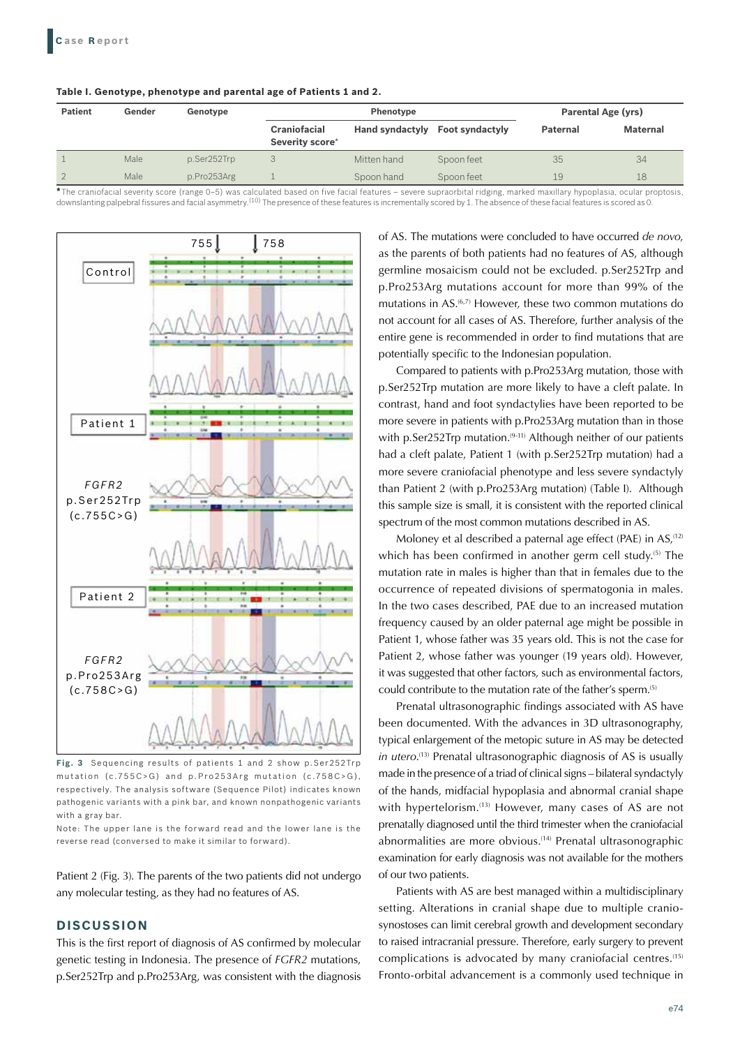| Table I. Genotype, phenotype and parental age of Patients 1 and 2. |  |  |
|--------------------------------------------------------------------|--|--|
|--------------------------------------------------------------------|--|--|

| <b>Patient</b> | Gender | Genotype    |                                        | Phenotype              |                        |                 | <b>Parental Age (yrs)</b> |  |
|----------------|--------|-------------|----------------------------------------|------------------------|------------------------|-----------------|---------------------------|--|
|                |        |             | <b>Craniofacial</b><br>Severity score* | <b>Hand syndactyly</b> | <b>Foot syndactyly</b> | <b>Paternal</b> | <b>Maternal</b>           |  |
|                | Male   | p.Ser252Trp |                                        | Mitten hand            | Spoon feet             | 35              | 34                        |  |
| $\mathfrak{D}$ | Male   | p.Pro253Arg |                                        | Spoon hand             | Spoon feet             | 19              | 18                        |  |

**\***The craniofacial severity score (range 0–5) was calculated based on five facial features – severe supraorbital ridging, marked maxillary hypoplasia, ocular proptosis, downslanting palpebral fissures and facial asymmetry.<sup>(10)</sup> The presence of these features is incrementally scored by 1. The absence of these facial features is scored as 0.



**Fig. 3** Sequencing results of patients 1 and 2 show p.Ser252Trp mutation (c.755 $C > G$ ) and p.Pro253Arg mutation (c.758 $C > G$ ), respectively. The analysis software (Sequence Pilot) indicates known pathogenic variants with a pink bar, and known nonpathogenic variants with a gray bar.

Note: The upper lane is the forward read and the lower lane is the reverse read (conversed to make it similar to forward).

Patient 2 (Fig. 3). The parents of the two patients did not undergo any molecular testing, as they had no features of AS.

## **DISCUSSION**

This is the first report of diagnosis of AS confirmed by molecular genetic testing in Indonesia. The presence of *FGFR2* mutations, p.Ser252Trp and p.Pro253Arg, was consistent with the diagnosis of AS. The mutations were concluded to have occurred *de novo*, as the parents of both patients had no features of AS, although germline mosaicism could not be excluded. p.Ser252Trp and p.Pro253Arg mutations account for more than 99% of the mutations in AS.<sup>(6,7)</sup> However, these two common mutations do not account for all cases of AS. Therefore, further analysis of the entire gene is recommended in order to find mutations that are potentially specific to the Indonesian population.

Compared to patients with p.Pro253Arg mutation, those with p.Ser252Trp mutation are more likely to have a cleft palate. In contrast, hand and foot syndactylies have been reported to be more severe in patients with p.Pro253Arg mutation than in those with p.Ser252Trp mutation.<sup>(9-11)</sup> Although neither of our patients had a cleft palate, Patient 1 (with p.Ser252Trp mutation) had a more severe craniofacial phenotype and less severe syndactyly than Patient 2 (with p.Pro253Arg mutation) (Table I). Although this sample size is small, it is consistent with the reported clinical spectrum of the most common mutations described in AS.

Moloney et al described a paternal age effect (PAE) in AS,<sup>(12)</sup> which has been confirmed in another germ cell study.<sup>(5)</sup> The mutation rate in males is higher than that in females due to the occurrence of repeated divisions of spermatogonia in males. In the two cases described, PAE due to an increased mutation frequency caused by an older paternal age might be possible in Patient 1, whose father was 35 years old. This is not the case for Patient 2, whose father was younger (19 years old). However, it was suggested that other factors, such as environmental factors, could contribute to the mutation rate of the father's sperm.(5)

Prenatal ultrasonographic findings associated with AS have been documented. With the advances in 3D ultrasonography, typical enlargement of the metopic suture in AS may be detected *in utero*. (13) Prenatal ultrasonographic diagnosis of AS is usually made in the presence of a triad of clinical signs – bilateral syndactyly of the hands, midfacial hypoplasia and abnormal cranial shape with hypertelorism.<sup>(13)</sup> However, many cases of AS are not prenatally diagnosed until the third trimester when the craniofacial abnormalities are more obvious.(14) Prenatal ultrasonographic examination for early diagnosis was not available for the mothers of our two patients.

Patients with AS are best managed within a multidisciplinary setting. Alterations in cranial shape due to multiple craniosynostoses can limit cerebral growth and development secondary to raised intracranial pressure. Therefore, early surgery to prevent complications is advocated by many craniofacial centres.<sup>(15)</sup> Fronto-orbital advancement is a commonly used technique in